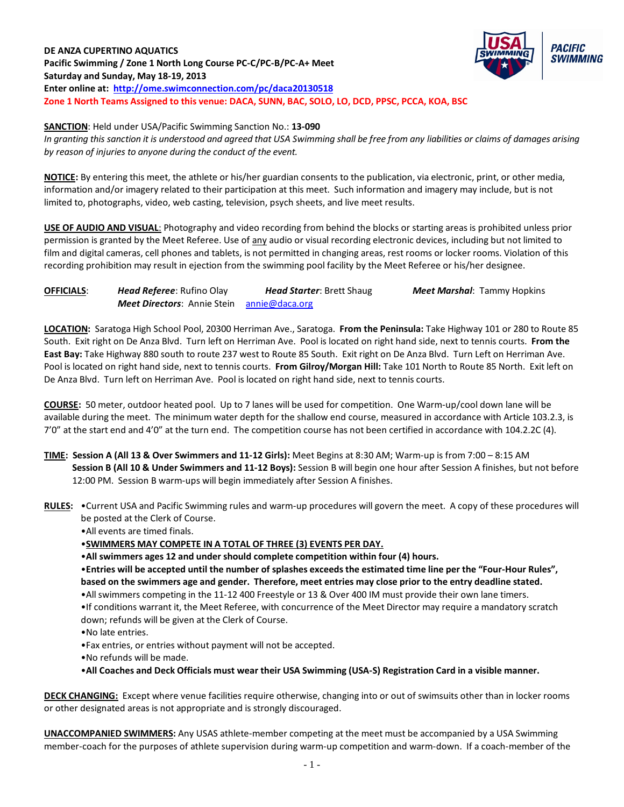# **DE ANZA CUPERTINO AQUATICS Pacific Swimming / Zone 1 North Long Course PC-C/PC-B/PC-A+ Meet Saturday and Sunday, May 18-19, 2013 Enter online at:<http://ome.swimconnection.com/pc/daca20130518> Zone 1 North Teams Assigned to this venue: DACA, SUNN, BAC, SOLO, LO, DCD, PPSC, PCCA, KOA, BSC**



**SANCTION**: Held under USA/Pacific Swimming Sanction No.: **13-090** *In granting this sanction it is understood and agreed that USA Swimming shall be free from any liabilities or claims of damages arising by reason of injuries to anyone during the conduct of the event.*

**NOTICE:** By entering this meet, the athlete or his/her guardian consents to the publication, via electronic, print, or other media, information and/or imagery related to their participation at this meet. Such information and imagery may include, but is not limited to, photographs, video, web casting, television, psych sheets, and live meet results.

**USE OF AUDIO AND VISUAL**: Photography and video recording from behind the blocks or starting areas is prohibited unless prior permission is granted by the Meet Referee. Use of any audio or visual recording electronic devices, including but not limited to film and digital cameras, cell phones and tablets, is not permitted in changing areas, rest rooms or locker rooms. Violation of this recording prohibition may result in ejection from the swimming pool facility by the Meet Referee or his/her designee.

**OFFICIALS**: *Head Referee*: Rufino Olay *Head Starter*: Brett Shaug *Meet Marshal*: Tammy Hopkins *Meet Directors*: Annie Stein [annie@daca.org](mailto:annie@daca.org) 

**LOCATION:** Saratoga High School Pool, 20300 Herriman Ave., Saratoga. **From the Peninsula:** Take Highway 101 or 280 to Route 85 South. Exit right on De Anza Blvd. Turn left on Herriman Ave. Pool is located on right hand side, next to tennis courts. **From the East Bay:** Take Highway 880 south to route 237 west to Route 85 South. Exit right on De Anza Blvd. Turn Left on Herriman Ave. Pool is located on right hand side, next to tennis courts. **From Gilroy/Morgan Hill:** Take 101 North to Route 85 North. Exit left on De Anza Blvd. Turn left on Herriman Ave. Pool is located on right hand side, next to tennis courts.

**COURSE:** 50 meter, outdoor heated pool. Up to 7 lanes will be used for competition. One Warm-up/cool down lane will be available during the meet. The minimum water depth for the shallow end course, measured in accordance with Article 103.2.3, is 7'0" at the start end and 4'0" at the turn end. The competition course has not been certified in accordance with 104.2.2C (4).

- **TIME: Session A (All 13 & Over Swimmers and 11-12 Girls):** Meet Begins at 8:30 AM; Warm-up is from 7:00 8:15 AM **Session B (All 10 & Under Swimmers and 11-12 Boys):** Session B will begin one hour after Session A finishes, but not before 12:00 PM. Session B warm-ups will begin immediately after Session A finishes.
- **RULES:** •Current USA and Pacific Swimming rules and warm-up procedures will govern the meet. A copy of these procedures will be posted at the Clerk of Course.

•All events are timed finals.

•**SWIMMERS MAY COMPETE IN A TOTAL OF THREE (3) EVENTS PER DAY.**

•**All swimmers ages 12 and under should complete competition within four (4) hours.** 

•**Entries will be accepted until the number of splashes exceeds the estimated time line per the "Four-Hour Rules", based on the swimmers age and gender. Therefore, meet entries may close prior to the entry deadline stated.**

•All swimmers competing in the 11-12 400 Freestyle or 13 & Over 400 IM must provide their own lane timers.

•If conditions warrant it, the Meet Referee, with concurrence of the Meet Director may require a mandatory scratch down; refunds will be given at the Clerk of Course.

•No late entries.

•Fax entries, or entries without payment will not be accepted.

•No refunds will be made.

•**All Coaches and Deck Officials must wear their USA Swimming (USA-S) Registration Card in a visible manner.** 

**DECK CHANGING:** Except where venue facilities require otherwise, changing into or out of swimsuits other than in locker rooms or other designated areas is not appropriate and is strongly discouraged.

**UNACCOMPANIED SWIMMERS:** Any USAS athlete-member competing at the meet must be accompanied by a USA Swimming member-coach for the purposes of athlete supervision during warm-up competition and warm-down. If a coach-member of the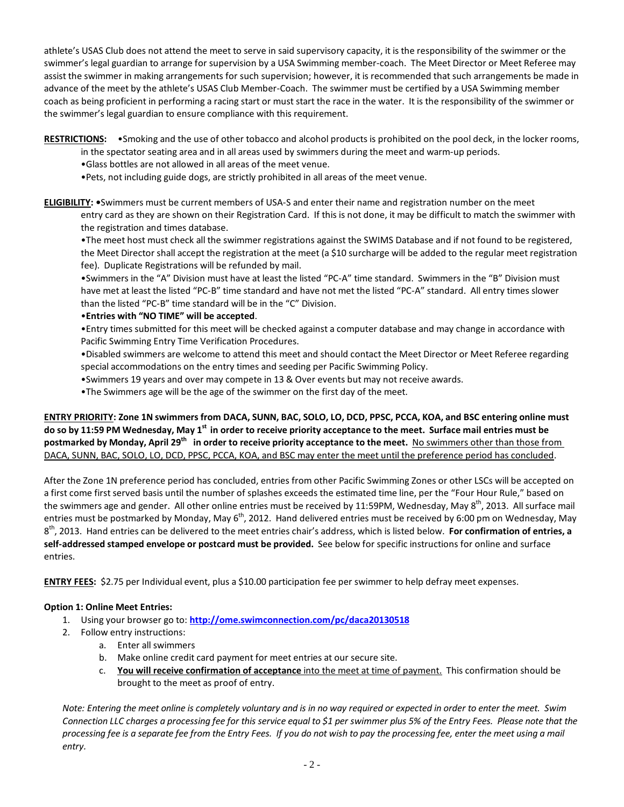athlete's USAS Club does not attend the meet to serve in said supervisory capacity, it is the responsibility of the swimmer or the swimmer's legal guardian to arrange for supervision by a USA Swimming member-coach. The Meet Director or Meet Referee may assist the swimmer in making arrangements for such supervision; however, it is recommended that such arrangements be made in advance of the meet by the athlete's USAS Club Member-Coach. The swimmer must be certified by a USA Swimming member coach as being proficient in performing a racing start or must start the race in the water. It is the responsibility of the swimmer or the swimmer's legal guardian to ensure compliance with this requirement.

**RESTRICTIONS:** •Smoking and the use of other tobacco and alcohol products is prohibited on the pool deck, in the locker rooms,

in the spectator seating area and in all areas used by swimmers during the meet and warm-up periods.

•Glass bottles are not allowed in all areas of the meet venue.

•Pets, not including guide dogs, are strictly prohibited in all areas of the meet venue.

**ELIGIBILITY: •**Swimmers must be current members of USA-S and enter their name and registration number on the meet

entry card as they are shown on their Registration Card. If this is not done, it may be difficult to match the swimmer with the registration and times database.

•The meet host must check all the swimmer registrations against the SWIMS Database and if not found to be registered, the Meet Director shall accept the registration at the meet (a \$10 surcharge will be added to the regular meet registration fee). Duplicate Registrations will be refunded by mail.

•Swimmers in the "A" Division must have at least the listed "PC-A" time standard. Swimmers in the "B" Division must have met at least the listed "PC-B" time standard and have not met the listed "PC-A" standard. All entry times slower than the listed "PC-B" time standard will be in the "C" Division.

### •**Entries with "NO TIME" will be accepted**.

•Entry times submitted for this meet will be checked against a computer database and may change in accordance with Pacific Swimming Entry Time Verification Procedures.

•Disabled swimmers are welcome to attend this meet and should contact the Meet Director or Meet Referee regarding special accommodations on the entry times and seeding per Pacific Swimming Policy.

•Swimmers 19 years and over may compete in 13 & Over events but may not receive awards.

•The Swimmers age will be the age of the swimmer on the first day of the meet.

**ENTRY PRIORITY: Zone 1N swimmers from DACA, SUNN, BAC, SOLO, LO, DCD, PPSC, PCCA, KOA, and BSC entering online must**  do so by 11:59 PM Wednesday, May 1<sup>st</sup> in order to receive priority acceptance to the meet. Surface mail entries must be **postmarked by Monday, April 29th in order to receive priority acceptance to the meet.** No swimmers other than those from DACA, SUNN, BAC, SOLO, LO, DCD, PPSC, PCCA, KOA, and BSC may enter the meet until the preference period has concluded.

After the Zone 1N preference period has concluded, entries from other Pacific Swimming Zones or other LSCs will be accepted on a first come first served basis until the number of splashes exceeds the estimated time line, per the "Four Hour Rule," based on the swimmers age and gender. All other online entries must be received by 11:59PM, Wednesday, May 8<sup>th</sup>, 2013. All surface mail entries must be postmarked by Monday, May  $6^{th}$ , 2012. Hand delivered entries must be received by 6:00 pm on Wednesday, May 8th, 2013. Hand entries can be delivered to the meet entries chair's address, which is listed below. **For confirmation of entries, a self-addressed stamped envelope or postcard must be provided.** See below for specific instructions for online and surface entries.

**ENTRY FEES:** \$2.75 per Individual event, plus a \$10.00 participation fee per swimmer to help defray meet expenses.

# **Option 1: Online Meet Entries:**

- 1. Using your browser go to: **http://ome[.swimconnection.](http://ome.swimconnection.com/pc/daca/20130518)com/pc/daca20130518**
- 2. Follow entry instructions:
	- a. Enter all swimmers
	- b. Make online credit card payment for meet entries at our secure site.
	- c. **You will receive confirmation of acceptance** into the meet at time of payment. This confirmation should be brought to the meet as proof of entry.

*Note: Entering the meet online is completely voluntary and is in no way required or expected in order to enter the meet. Swim Connection LLC charges a processing fee for this service equal to \$1 per swimmer plus 5% of the Entry Fees. Please note that the processing fee is a separate fee from the Entry Fees. If you do not wish to pay the processing fee, enter the meet using a mail entry.*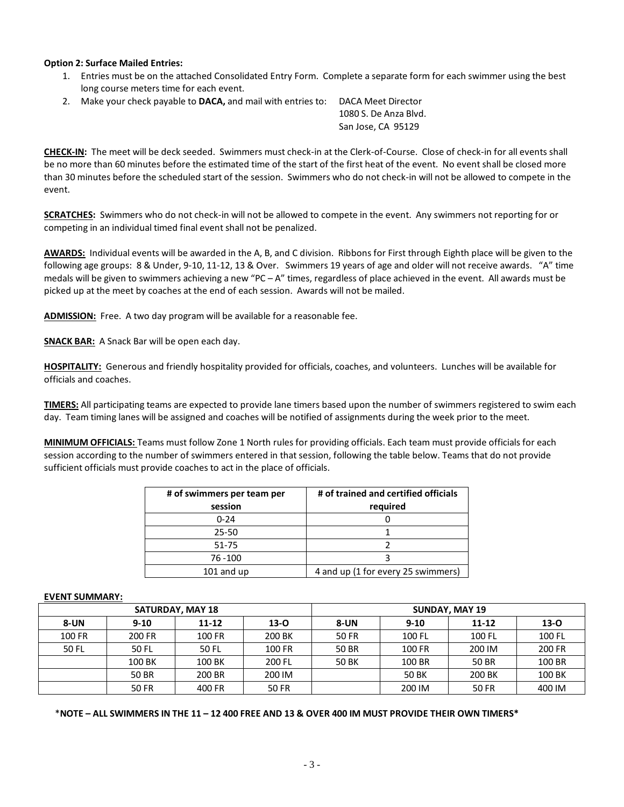#### **Option 2: Surface Mailed Entries:**

- 1. Entries must be on the attached Consolidated Entry Form. Complete a separate form for each swimmer using the best long course meters time for each event.
- 2. Make your check payable to **DACA,** and mail with entries to: DACA Meet Director

 1080 S. De Anza Blvd. San Jose, CA 95129

**CHECK-IN:** The meet will be deck seeded. Swimmers must check-in at the Clerk-of-Course. Close of check-in for all events shall be no more than 60 minutes before the estimated time of the start of the first heat of the event. No event shall be closed more than 30 minutes before the scheduled start of the session. Swimmers who do not check-in will not be allowed to compete in the event.

**SCRATCHES:** Swimmers who do not check-in will not be allowed to compete in the event. Any swimmers not reporting for or competing in an individual timed final event shall not be penalized.

**AWARDS:** Individual events will be awarded in the A, B, and C division. Ribbons for First through Eighth place will be given to the following age groups: 8 & Under, 9-10, 11-12, 13 & Over. Swimmers 19 years of age and older will not receive awards. "A" time medals will be given to swimmers achieving a new "PC – A" times, regardless of place achieved in the event. All awards must be picked up at the meet by coaches at the end of each session. Awards will not be mailed.

**ADMISSION:** Free. A two day program will be available for a reasonable fee.

**SNACK BAR:** A Snack Bar will be open each day.

**HOSPITALITY:** Generous and friendly hospitality provided for officials, coaches, and volunteers. Lunches will be available for officials and coaches.

**TIMERS:** All participating teams are expected to provide lane timers based upon the number of swimmers registered to swim each day. Team timing lanes will be assigned and coaches will be notified of assignments during the week prior to the meet.

**MINIMUM OFFICIALS:** Teams must follow Zone 1 North rules for providing officials. Each team must provide officials for each session according to the number of swimmers entered in that session, following the table below. Teams that do not provide sufficient officials must provide coaches to act in the place of officials.

| # of swimmers per team per | # of trained and certified officials |  |  |
|----------------------------|--------------------------------------|--|--|
| session                    | required                             |  |  |
| $0 - 24$                   |                                      |  |  |
| $25 - 50$                  |                                      |  |  |
| $51 - 75$                  |                                      |  |  |
| 76 - 100                   |                                      |  |  |
| 101 and up                 | 4 and up (1 for every 25 swimmers)   |  |  |

#### **EVENT SUMMARY:**

| <b>SATURDAY, MAY 18</b> |          |           |          | <b>SUNDAY, MAY 19</b> |          |        |          |
|-------------------------|----------|-----------|----------|-----------------------|----------|--------|----------|
| <b>8-UN</b>             | $9 - 10$ | $11 - 12$ | $13 - 0$ | 8-UN                  | $9 - 10$ | 11-12  | $13 - 0$ |
| 100 FR                  | 200 FR   | 100 FR    | 200 BK   | 50 FR                 | 100 FL   | 100 FL | 100 FL   |
| 50 FL                   | 50 FL    | 50 FL     | 100 FR   | 50 BR                 | 100 FR   | 200 IM | 200 FR   |
|                         | 100 BK   | 100 BK    | 200 FL   | 50 BK                 | 100 BR   | 50 BR  | 100 BR   |
|                         | 50 BR    | 200 BR    | 200 IM   |                       | 50 BK    | 200 BK | 100 BK   |
|                         | 50 FR    | 400 FR    | 50 FR    |                       | 200 IM   | 50 FR  | 400 IM   |

\***NOTE – ALL SWIMMERS IN THE 11 – 12 400 FREE AND 13 & OVER 400 IM MUST PROVIDE THEIR OWN TIMERS\***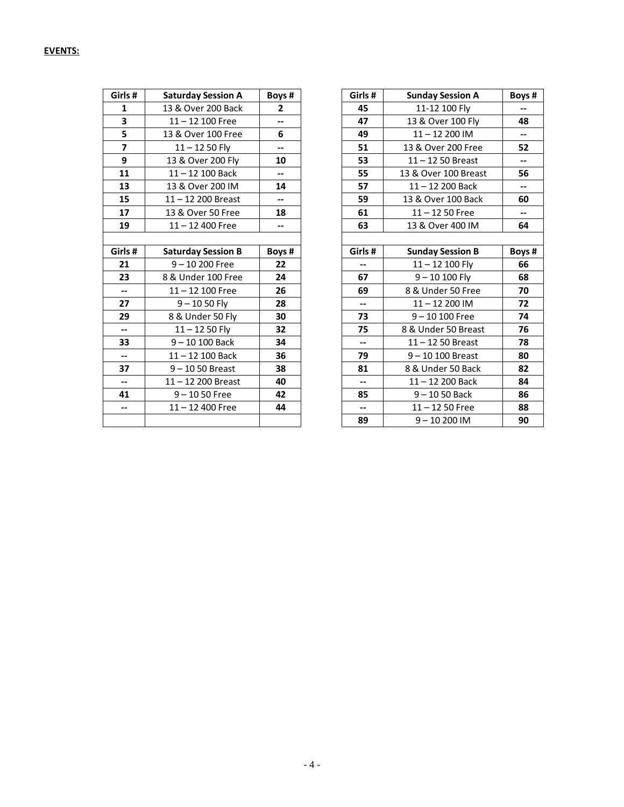| <b>EVENTS:</b> |  |
|----------------|--|
|                |  |

| Girls#                   | <b>Saturday Session A</b> | Boys# |
|--------------------------|---------------------------|-------|
| 1                        | 13 & Over 200 Back        | 2     |
| 3                        | $11 - 12$ 100 Free        | $-$   |
| 5                        | 13 & Over 100 Free        | 6     |
| 7                        | 11 – 12 50 Fly            |       |
| 9                        | 13 & Over 200 Fly         | 10    |
| 11                       | 11-12 100 Back            |       |
| 13                       | 13 & Over 200 IM          | 14    |
| 15                       | 11-12 200 Breast          |       |
| 17                       | 13 & Over 50 Free         | 18    |
| 19                       | $11 - 12$ 400 Free        | --    |
|                          |                           |       |
| Girls#                   | <b>Saturday Session B</b> | Boys# |
| 21                       | 9-10 200 Free             |       |
|                          |                           | 22    |
| 23                       | 8 & Under 100 Free        | 24    |
| $\overline{\phantom{a}}$ | 11-12 100 Free            | 26    |
| 27                       | $9 - 1050$ Fly            | 28    |
| 29                       | 8 & Under 50 Fly          | 30    |
| $\overline{\phantom{a}}$ | 11 – 12 50 Fly            | 32    |
| 33                       | $9 - 10 100$ Back         | 34    |
| --                       | 11 – 12 100 Back          | 36    |
| 37                       | 9 - 10 50 Breast          | 38    |
| --                       | 11-12 200 Breast          | 40    |
| 41                       | $9 - 1050$ Free           | 42    |
| --                       | $11 - 12$ 400 Free        | 44    |

| Girls #                  | <b>Saturday Session A</b> | Boys#                    | Girls#                   | <b>Sunday Session A</b> | Boys #                   |
|--------------------------|---------------------------|--------------------------|--------------------------|-------------------------|--------------------------|
| $\mathbf{1}$             | 13 & Over 200 Back        | $\overline{2}$           | 45                       | 11-12 100 Fly           | $\overline{\phantom{a}}$ |
| 3                        | $11 - 12$ 100 Free        | $-$                      | 47                       | 13 & Over 100 Fly       | 48                       |
| 5                        | 13 & Over 100 Free        | 6                        | 49                       | $11 - 12200$ IM         | ⊷                        |
| $\overline{7}$           | $11 - 1250$ Fly           | $\overline{\phantom{a}}$ | 51                       | 13 & Over 200 Free      | 52                       |
| 9                        | 13 & Over 200 Fly         | 10                       | 53                       | $11 - 1250$ Breast      | $\overline{\phantom{a}}$ |
| 11                       | $11 - 12$ 100 Back        | $\overline{\phantom{a}}$ | 55                       | 13 & Over 100 Breast    | 56                       |
| 13                       | 13 & Over 200 IM          | 14                       | 57                       | $11 - 12$ 200 Back      | $\overline{\phantom{a}}$ |
| 15                       | $11 - 12$ 200 Breast      | $\overline{\phantom{a}}$ | 59                       | 13 & Over 100 Back      | 60                       |
| 17                       | 13 & Over 50 Free         | 18                       | 61                       | $11 - 1250$ Free        | $\overline{\phantom{a}}$ |
| 19                       | $11 - 12$ 400 Free        | $\overline{\phantom{a}}$ | 63                       | 13 & Over 400 IM        | 64                       |
|                          |                           |                          |                          |                         |                          |
| Girls#                   | <b>Saturday Session B</b> | Boys#                    | Girls#                   | <b>Sunday Session B</b> | Boys #                   |
| 21                       | $9 - 10200$ Free          | 22                       | $-$                      | $11 - 12$ 100 Fly       | 66                       |
| 23                       | 8 & Under 100 Free        | 24                       | 67                       | $9 - 10 100$ Fly        | 68                       |
| $- -$                    | $11 - 12$ 100 Free        | 26                       | 69                       | 8 & Under 50 Free       | 70                       |
| 27                       | $9 - 1050$ Fly            | 28                       | $\overline{\phantom{a}}$ | $11 - 12200$ IM         | 72                       |
| 29                       | 8 & Under 50 Fly          | 30                       | 73                       | $9 - 10100$ Free        | 74                       |
| $- -$                    | $11 - 1250$ Fly           | 32                       | 75                       | 8 & Under 50 Breast     | 76                       |
| 33                       | $9 - 10 100$ Back         | 34                       | $\overline{\phantom{a}}$ | $11 - 1250$ Breast      | 78                       |
| $- -$                    | $11 - 12$ 100 Back        | 36                       | 79                       | $9 - 10 100$ Breast     | 80                       |
| 37                       | $9 - 1050$ Breast         | 38                       | 81                       | 8 & Under 50 Back       | 82                       |
| $- -$                    | $11 - 12$ 200 Breast      | 40                       | $\overline{\phantom{a}}$ | $11 - 12$ 200 Back      | 84                       |
| 41                       | $9 - 1050$ Free           | 42                       | 85                       | $9 - 1050$ Back         | 86                       |
| $\overline{\phantom{a}}$ | $11 - 12$ 400 Free        | 44                       | $\overline{\phantom{a}}$ | $11 - 1250$ Free        | 88                       |
|                          |                           |                          | 89                       | $9 - 10200$ IM          | 90                       |